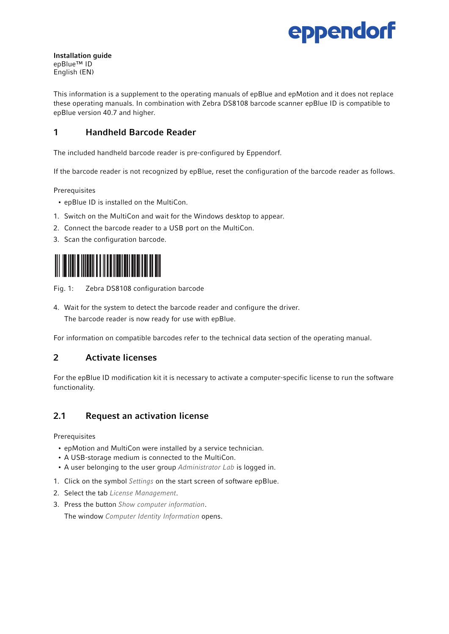

Installation guide epBlue™ ID English (EN)

This information is a supplement to the operating manuals of epBlue and epMotion and it does not replace these operating manuals. In combination with Zebra DS8108 barcode scanner epBlue ID is compatible to epBlue version 40.7 and higher.

# 1 Handheld Barcode Reader

The included handheld barcode reader is pre-configured by Eppendorf.

If the barcode reader is not recognized by epBlue, reset the configuration of the barcode reader as follows.

Prerequisites

- epBlue ID is installed on the MultiCon.
- 1. Switch on the MultiCon and wait for the Windows desktop to appear.
- 2. Connect the barcode reader to a USB port on the MultiCon.
- 3. Scan the configuration barcode.



Fig. 1: Zebra DS8108 configuration barcode

4. Wait for the system to detect the barcode reader and configure the driver.

The barcode reader is now ready for use with epBlue.

For information on compatible barcodes refer to the technical data section of the operating manual.

### 2 Activate licenses

For the epBlue ID modification kit it is necessary to activate a computer-specific license to run the software functionality.

### 2.1 Request an activation license

Prerequisites

- epMotion and MultiCon were installed by a service technician.
- A USB-storage medium is connected to the MultiCon.
- A user belonging to the user group *Administrator Lab* is logged in.
- 1. Click on the symbol *Settings* on the start screen of software epBlue.
- 2. Select the tab *License Management*.
- 3. Press the button *Show computer information*.

The window *Computer Identity Information* opens.